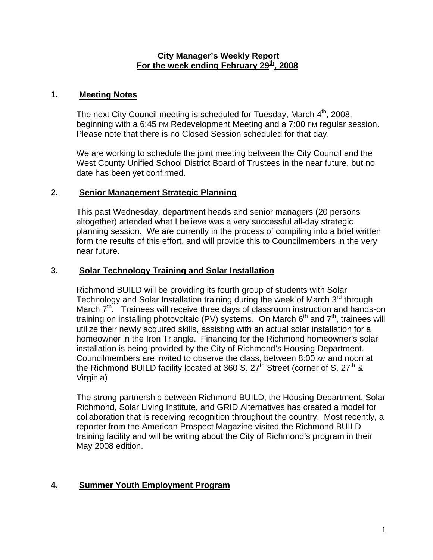#### **City Manager's Weekly Report** For the week ending February 29<sup>th</sup>, 2008

### **1. Meeting Notes**

The next City Council meeting is scheduled for Tuesday, March  $4<sup>th</sup>$ , 2008, beginning with a 6:45 PM Redevelopment Meeting and a 7:00 PM regular session. Please note that there is no Closed Session scheduled for that day.

We are working to schedule the joint meeting between the City Council and the West County Unified School District Board of Trustees in the near future, but no date has been yet confirmed.

#### **2. Senior Management Strategic Planning**

This past Wednesday, department heads and senior managers (20 persons altogether) attended what I believe was a very successful all-day strategic planning session. We are currently in the process of compiling into a brief written form the results of this effort, and will provide this to Councilmembers in the very near future.

## **3. Solar Technology Training and Solar Installation**

Richmond BUILD will be providing its fourth group of students with Solar Technology and Solar Installation training during the week of March  $3<sup>rd</sup>$  through March  $7<sup>th</sup>$ . Trainees will receive three days of classroom instruction and hands-on training on installing photovoltaic (PV) systems. On March  $6<sup>th</sup>$  and  $7<sup>th</sup>$ , trainees will utilize their newly acquired skills, assisting with an actual solar installation for a homeowner in the Iron Triangle. Financing for the Richmond homeowner's solar installation is being provided by the City of Richmond's Housing Department. Councilmembers are invited to observe the class, between 8:00 AM and noon at the Richmond BUILD facility located at 360 S.  $27^{\text{th}}$  Street (corner of S.  $27^{\text{th}}$  & Virginia)

The strong partnership between Richmond BUILD, the Housing Department, Solar Richmond, Solar Living Institute, and GRID Alternatives has created a model for collaboration that is receiving recognition throughout the country. Most recently, a reporter from the American Prospect Magazine visited the Richmond BUILD training facility and will be writing about the City of Richmond's program in their May 2008 edition.

## **4. Summer Youth Employment Program**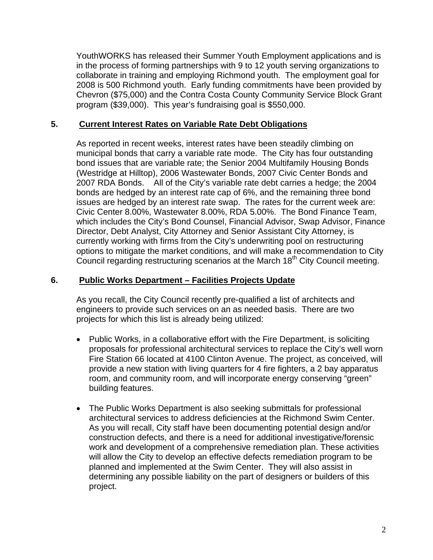YouthWORKS has released their Summer Youth Employment applications and is in the process of forming partnerships with 9 to 12 youth serving organizations to collaborate in training and employing Richmond youth. The employment goal for 2008 is 500 Richmond youth. Early funding commitments have been provided by Chevron (\$75,000) and the Contra Costa County Community Service Block Grant program (\$39,000). This year's fundraising goal is \$550,000.

#### **5. Current Interest Rates on Variable Rate Debt Obligations**

As reported in recent weeks, interest rates have been steadily climbing on municipal bonds that carry a variable rate mode. The City has four outstanding bond issues that are variable rate; the Senior 2004 Multifamily Housing Bonds (Westridge at Hilltop), 2006 Wastewater Bonds, 2007 Civic Center Bonds and 2007 RDA Bonds. All of the City's variable rate debt carries a hedge; the 2004 bonds are hedged by an interest rate cap of 6%, and the remaining three bond issues are hedged by an interest rate swap. The rates for the current week are: Civic Center 8.00%, Wastewater 8.00%, RDA 5.00%. The Bond Finance Team, which includes the City's Bond Counsel, Financial Advisor, Swap Advisor, Finance Director, Debt Analyst, City Attorney and Senior Assistant City Attorney, is currently working with firms from the City's underwriting pool on restructuring options to mitigate the market conditions, and will make a recommendation to City Council regarding restructuring scenarios at the March 18<sup>th</sup> City Council meeting.

### **6. Public Works Department – Facilities Projects Update**

As you recall, the City Council recently pre-qualified a list of architects and engineers to provide such services on an as needed basis. There are two projects for which this list is already being utilized:

- Public Works, in a collaborative effort with the Fire Department, is soliciting proposals for professional architectural services to replace the City's well worn Fire Station 66 located at 4100 Clinton Avenue. The project, as conceived, will provide a new station with living quarters for 4 fire fighters, a 2 bay apparatus room, and community room, and will incorporate energy conserving "green" building features.
- The Public Works Department is also seeking submittals for professional architectural services to address deficiencies at the Richmond Swim Center. As you will recall, City staff have been documenting potential design and/or construction defects, and there is a need for additional investigative/forensic work and development of a comprehensive remediation plan. These activities will allow the City to develop an effective defects remediation program to be planned and implemented at the Swim Center. They will also assist in determining any possible liability on the part of designers or builders of this project.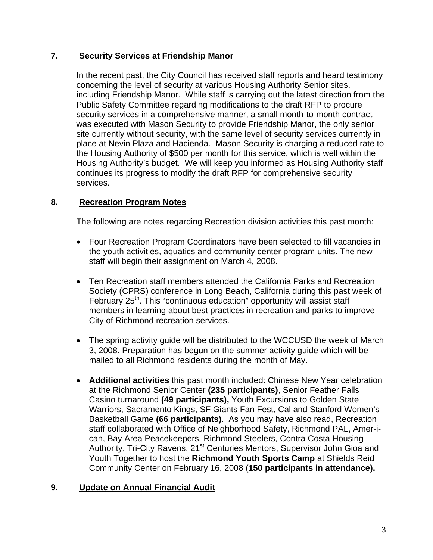## **7. Security Services at Friendship Manor**

In the recent past, the City Council has received staff reports and heard testimony concerning the level of security at various Housing Authority Senior sites, including Friendship Manor. While staff is carrying out the latest direction from the Public Safety Committee regarding modifications to the draft RFP to procure security services in a comprehensive manner, a small month-to-month contract was executed with Mason Security to provide Friendship Manor, the only senior site currently without security, with the same level of security services currently in place at Nevin Plaza and Hacienda. Mason Security is charging a reduced rate to the Housing Authority of \$500 per month for this service, which is well within the Housing Authority's budget. We will keep you informed as Housing Authority staff continues its progress to modify the draft RFP for comprehensive security services.

# **8. Recreation Program Notes**

The following are notes regarding Recreation division activities this past month:

- Four Recreation Program Coordinators have been selected to fill vacancies in the youth activities, aquatics and community center program units. The new staff will begin their assignment on March 4, 2008.
- Ten Recreation staff members attended the California Parks and Recreation Society (CPRS) conference in Long Beach, California during this past week of February 25<sup>th</sup>. This "continuous education" opportunity will assist staff members in learning about best practices in recreation and parks to improve City of Richmond recreation services.
- The spring activity guide will be distributed to the WCCUSD the week of March 3, 2008. Preparation has begun on the summer activity guide which will be mailed to all Richmond residents during the month of May.
- **Additional activities** this past month included: Chinese New Year celebration at the Richmond Senior Center **(235 participants)**, Senior Feather Falls Casino turnaround **(49 participants),** Youth Excursions to Golden State Warriors, Sacramento Kings, SF Giants Fan Fest, Cal and Stanford Women's Basketball Game **(66 participants)**. As you may have also read, Recreation staff collaborated with Office of Neighborhood Safety, Richmond PAL, Amer-ican, Bay Area Peacekeepers, Richmond Steelers, Contra Costa Housing Authority, Tri-City Ravens, 21<sup>st</sup> Centuries Mentors, Supervisor John Gioa and Youth Together to host the **Richmond Youth Sports Camp** at Shields Reid Community Center on February 16, 2008 (**150 participants in attendance).**

## **9. Update on Annual Financial Audit**